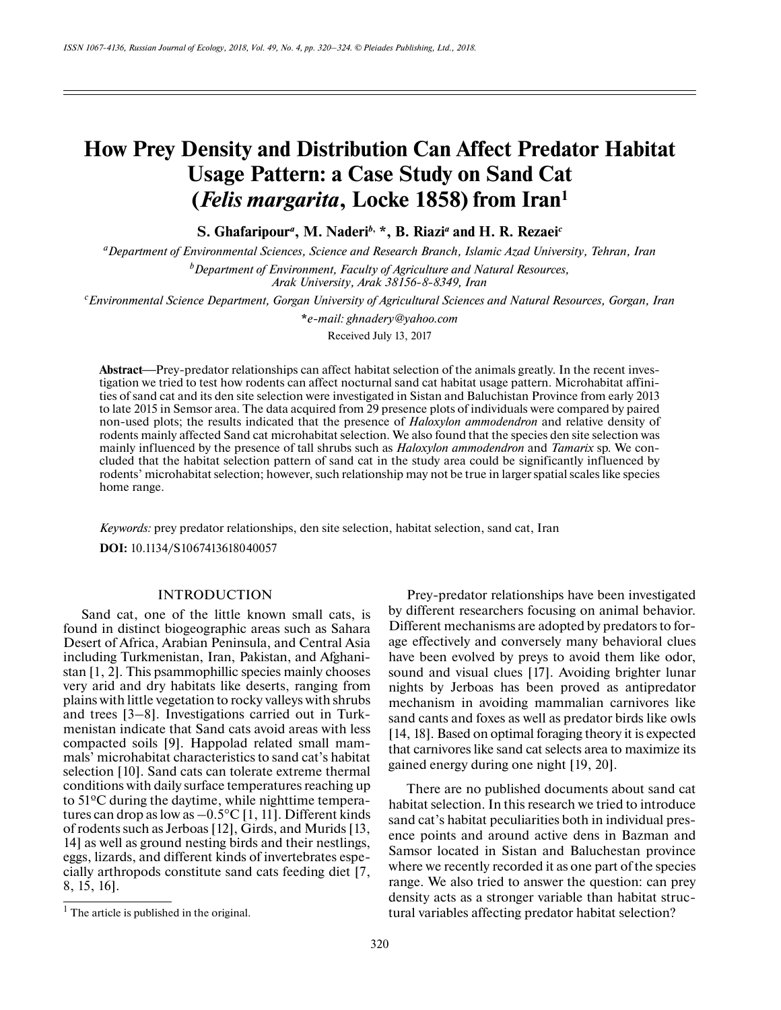# **How Prey Density and Distribution Can Affect Predator Habitat Usage Pattern: a Case Study on Sand Cat (***Felis margarita***, Locke 1858) from Iran1**

**S. Ghafaripour***a* **, M. Naderi***b***, \*, B. Riazi***a*  **and H. R. Rezaei***c*

*aDepartment of Environmental Sciences, Science and Research Branch, Islamic Azad University, Tehran, Iran b Department of Environment, Faculty of Agriculture and Natural Resources, Arak University, Arak 38156-8-8349, Iran*

*c Environmental Science Department, Gorgan University of Agricultural Sciences and Natural Resources, Gorgan, Iran*

**\****e-mail: ghnadery@yahoo.com* Received July 13, 2017

Abstract—Prey-predator relationships can affect habitat selection of the animals greatly. In the recent investigation we tried to test how rodents can affect nocturnal sand cat habitat usage pattern. Microhabitat affinities of sand cat and its den site selection were investigated in Sistan and Baluchistan Province from early 2013 to late 2015 in Semsor area. The data acquired from 29 presence plots of individuals were compared by paired non-used plots; the results indicated that the presence of *Haloxylon ammodendron* and relative density of rodents mainly affected Sand cat microhabitat selection. We also found that the species den site selection was mainly influenced by the presence of tall shrubs such as *Haloxylon ammodendron* and *Tamarix* sp*.* We concluded that the habitat selection pattern of sand cat in the study area could be significantly influenced by rodents' microhabitat selection; however, such relationship may not be true in larger spatial scales like species home range.

*Keywords:* prey predator relationships, den site selection, habitat selection, sand cat, Iran

**DOI:** 10.1134/S1067413618040057

# INTRODUCTION

Sand cat, one of the little known small cats, is found in distinct biogeographic areas such as Sahara Desert of Africa, Arabian Peninsula, and Central Asia including Turkmenistan, Iran, Pakistan, and Afghanistan [1, 2]. This psammophillic species mainly chooses very arid and dry habitats like deserts, ranging from plains with little vegetation to rocky valleys with shrubs and trees [3–8]. Investigations carried out in Turkmenistan indicate that Sand cats avoid areas with less compacted soils [9]. Happolad related small mammals' microhabitat characteristics to sand cat's habitat selection [10]. Sand cats can tolerate extreme thermal conditions with daily surface temperatures reaching up to 51ºC during the daytime, while nighttime temperatures can drop as low as  $-0.5^{\circ}C$  [1, 11]. Different kinds of rodents such as Jerboas [12], Girds, and Murids [13, 14] as well as ground nesting birds and their nestlings, eggs, lizards, and different kinds of invertebrates especially arthropods constitute sand cats feeding diet [7, 8, 15, 16].

Prey-predator relationships have been investigated by different researchers focusing on animal behavior. Different mechanisms are adopted by predators to forage effectively and conversely many behavioral clues have been evolved by preys to avoid them like odor, sound and visual clues [17]. Avoiding brighter lunar nights by Jerboas has been proved as antipredator mechanism in avoiding mammalian carnivores like sand cants and foxes as well as predator birds like owls [14, 18]. Based on optimal foraging theory it is expected that carnivores like sand cat selects area to maximize its gained energy during one night [19, 20].

There are no published documents about sand cat habitat selection. In this research we tried to introduce sand cat's habitat peculiarities both in individual presence points and around active dens in Bazman and Samsor located in Sistan and Baluchestan province where we recently recorded it as one part of the species range. We also tried to answer the question: can prey density acts as a stronger variable than habitat struc- $\frac{1}{1}$  The article is published in the original. tural variables affecting predator habitat selection?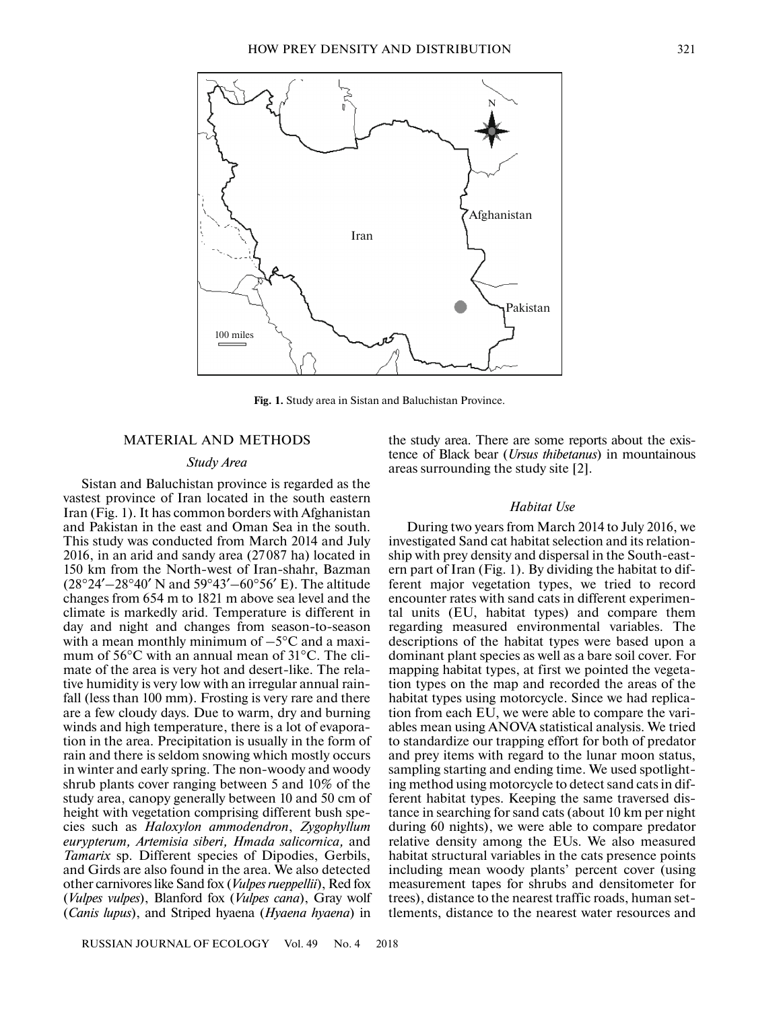

**Fig. 1.** Study area in Sistan and Baluchistan Province.

## MATERIAL AND METHODS

# *Study Area*

Sistan and Baluchistan province is regarded as the vastest province of Iran located in the south eastern Iran (Fig. 1). It has common borders with Afghanistan and Pakistan in the east and Oman Sea in the south. This study was conducted from March 2014 and July 2016, in an arid and sandy area (27087 ha) located in 150 km from the North-west of Iran-shahr, Bazman  $(28°24' - 28°40' N$  and  $59°43' - 60°56' E)$ . The altitude changes from 654 m to 1821 m above sea level and the climate is markedly arid. Temperature is different in day and night and changes from season-to-season with a mean monthly minimum of  $-5^{\circ}$ C and a maximum of 56°C with an annual mean of 31°C. The climate of the area is very hot and desert-like. The relative humidity is very low with an irregular annual rainfall (less than 100 mm). Frosting is very rare and there are a few cloudy days. Due to warm, dry and burning winds and high temperature, there is a lot of evaporation in the area. Precipitation is usually in the form of rain and there is seldom snowing which mostly occurs in winter and early spring. The non-woody and woody shrub plants cover ranging between 5 and 10% of the study area, canopy generally between 10 and 50 cm of height with vegetation comprising different bush species such as *Haloxylon ammodendron*, *Zygophyllum eurypterum, Artemisia siberi, Hmada salicornica,* and *Tamarix* sp. Different species of Dipodies, Gerbils, and Girds are also found in the area. We also detected other carnivores like Sand fox (*Vulpes rueppellii*), Red fox (*Vulpes vulpes*), Blanford fox (*Vulpes cana*), Gray wolf (*Canis lupus*), and Striped hyaena (*Hyaena hyaena*) in the study area. There are some reports about the existence of Black bear (*Ursus thibetanus*) in mountainous areas surrounding the study site [2].

## *Habitat Use*

During two years from March 2014 to July 2016, we investigated Sand cat habitat selection and its relationship with prey density and dispersal in the South-eastern part of Iran (Fig. 1). By dividing the habitat to different major vegetation types, we tried to record encounter rates with sand cats in different experimental units (EU, habitat types) and compare them regarding measured environmental variables. The descriptions of the habitat types were based upon a dominant plant species as well as a bare soil cover. For mapping habitat types, at first we pointed the vegetation types on the map and recorded the areas of the habitat types using motorcycle. Since we had replication from each EU, we were able to compare the variables mean using ANOVA statistical analysis. We tried to standardize our trapping effort for both of predator and prey items with regard to the lunar moon status, sampling starting and ending time. We used spotlighting method using motorcycle to detect sand cats in different habitat types. Keeping the same traversed distance in searching for sand cats (about 10 km per night during 60 nights), we were able to compare predator relative density among the EUs. We also measured habitat structural variables in the cats presence points including mean woody plants' percent cover (using measurement tapes for shrubs and densitometer for trees), distance to the nearest traffic roads, human settlements, distance to the nearest water resources and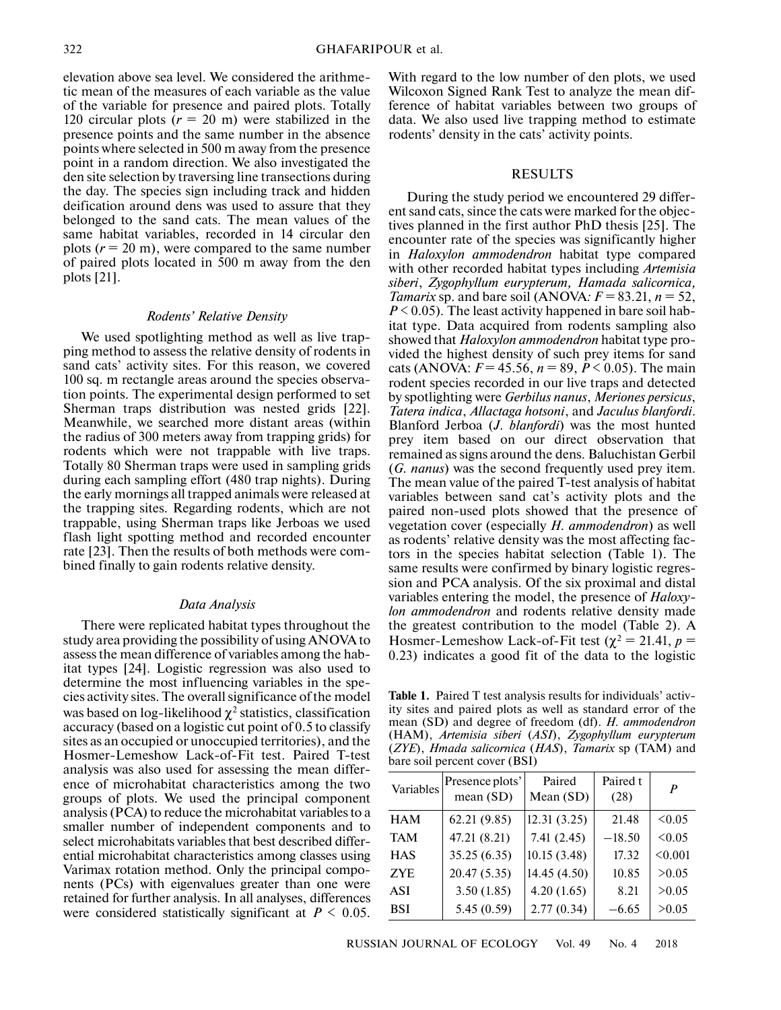elevation above sea level. We considered the arithmetic mean of the measures of each variable as the value of the variable for presence and paired plots. Totally 120 circular plots  $(r = 20 \text{ m})$  were stabilized in the presence points and the same number in the absence points where selected in 500 m away from the presence point in a random direction. We also investigated the den site selection by traversing line transections during the day. The species sign including track and hidden deification around dens was used to assure that they belonged to the sand cats. The mean values of the same habitat variables, recorded in 14 circular den plots  $(r = 20 \text{ m})$ , were compared to the same number of paired plots located in 500 m away from the den plots [21].

### *Rodents' Relative Density*

We used spotlighting method as well as live trapping method to assess the relative density of rodents in sand cats' activity sites. For this reason, we covered 100 sq. m rectangle areas around the species observation points. The experimental design performed to set Sherman traps distribution was nested grids [22]. Meanwhile, we searched more distant areas (within the radius of 300 meters away from trapping grids) for rodents which were not trappable with live traps. Totally 80 Sherman traps were used in sampling grids during each sampling effort (480 trap nights). During the early mornings all trapped animals were released at the trapping sites. Regarding rodents, which are not trappable, using Sherman traps like Jerboas we used flash light spotting method and recorded encounter rate [23]. Then the results of both methods were combined finally to gain rodents relative density.

#### *Data Analysis*

There were replicated habitat types throughout the study area providing the possibility of using ANOVA to assess the mean difference of variables among the habitat types [24]. Logistic regression was also used to determine the most influencing variables in the species activity sites. The overall significance of the model was based on log-likelihood  $\chi^2$  statistics, classification accuracy (based on a logistic cut point of 0.5 to classify sites as an occupied or unoccupied territories), and the Hosmer-Lemeshow Lack-of-Fit test. Paired T-test analysis was also used for assessing the mean difference of microhabitat characteristics among the two groups of plots. We used the principal component analysis (PCA) to reduce the microhabitat variables to a smaller number of independent components and to select microhabitats variables that best described differential microhabitat characteristics among classes using Varimax rotation method. Only the principal components (PCs) with eigenvalues greater than one were retained for further analysis. In all analyses, differences were considered statistically significant at  $P \leq 0.05$ .

With regard to the low number of den plots, we used Wilcoxon Signed Rank Test to analyze the mean difference of habitat variables between two groups of data. We also used live trapping method to estimate rodents' density in the cats' activity points.

#### RESULTS

During the study period we encountered 29 different sand cats, since the cats were marked for the objectives planned in the first author PhD thesis [25]. The encounter rate of the species was significantly higher in *Haloxylon ammodendron* habitat type compared with other recorded habitat types including *Artemisia siberi*, *Zygophyllum eurypterum, Hamada salicornica, Tamarix* sp. and bare soil (ANOVA:  $F = 83.21$ ,  $n = 52$ ,  $P < 0.05$ ). The least activity happened in bare soil habitat type. Data acquired from rodents sampling also showed that *Haloxylon ammodendron* habitat type provided the highest density of such prey items for sand cats (ANOVA:  $F = 45.56$ ,  $n = 89$ ,  $P < 0.05$ ). The main rodent species recorded in our live traps and detected by spotlighting were *Gerbilus nanus*, *Meriones persicus*, *Tatera indica*, *Allactaga hotsoni*, and *Jaculus blanfordi*. Blanford Jerboa (*J*. *blanfordi*) was the most hunted prey item based on our direct observation that remained as signs around the dens. Baluchistan Gerbil (*G. nanus*) was the second frequently used prey item. The mean value of the paired T-test analysis of habitat variables between sand cat's activity plots and the paired non-used plots showed that the presence of vegetation cover (especially *H. ammodendron*) as well as rodents' relative density was the most affecting factors in the species habitat selection (Table 1). The same results were confirmed by binary logistic regression and PCA analysis. Of the six proximal and distal variables entering the model, the presence of *Haloxylon ammodendron* and rodents relative density made the greatest contribution to the model (Table 2). A Hosmer-Lemeshow Lack-of-Fit test ( $\chi^2 = 21.41$ ,  $p =$ 0.23) indicates a good fit of the data to the logistic

**Table 1.** Paired T test analysis results for individuals' activity sites and paired plots as well as standard error of the mean (SD) and degree of freedom (df). *H. ammodendron* (HAM), *Artemisia siberi* (*ASI*), *Zygophyllum eurypterum* (*ZYE*), *Hmada salicornica* (*HAS*), *Tamarix* sp (TAM) and bare soil percent cover (BSI)

| Variables  | Presence plots'<br>mean (SD) | Paired<br>Mean $(SD)$ | Paired t<br>(28) | P       |
|------------|------------------------------|-----------------------|------------------|---------|
| <b>HAM</b> | 62.21(9.85)                  | 12.31(3.25)           | 21.48            | <0.05   |
| <b>TAM</b> | 47.21 (8.21)                 | 7.41(2.45)            | $-18.50$         | <0.05   |
| <b>HAS</b> | 35.25(6.35)                  | 10.15(3.48)           | 17.32            | < 0.001 |
| ZYE.       | 20.47(5.35)                  | 14.45 (4.50)          | 10.85            | >0.05   |
| ASI        | 3.50(1.85)                   | 4.20(1.65)            | 8.21             | > 0.05  |
| <b>BSI</b> | 5.45(0.59)                   | 2.77(0.34)            | $-6.65$          | >0.05   |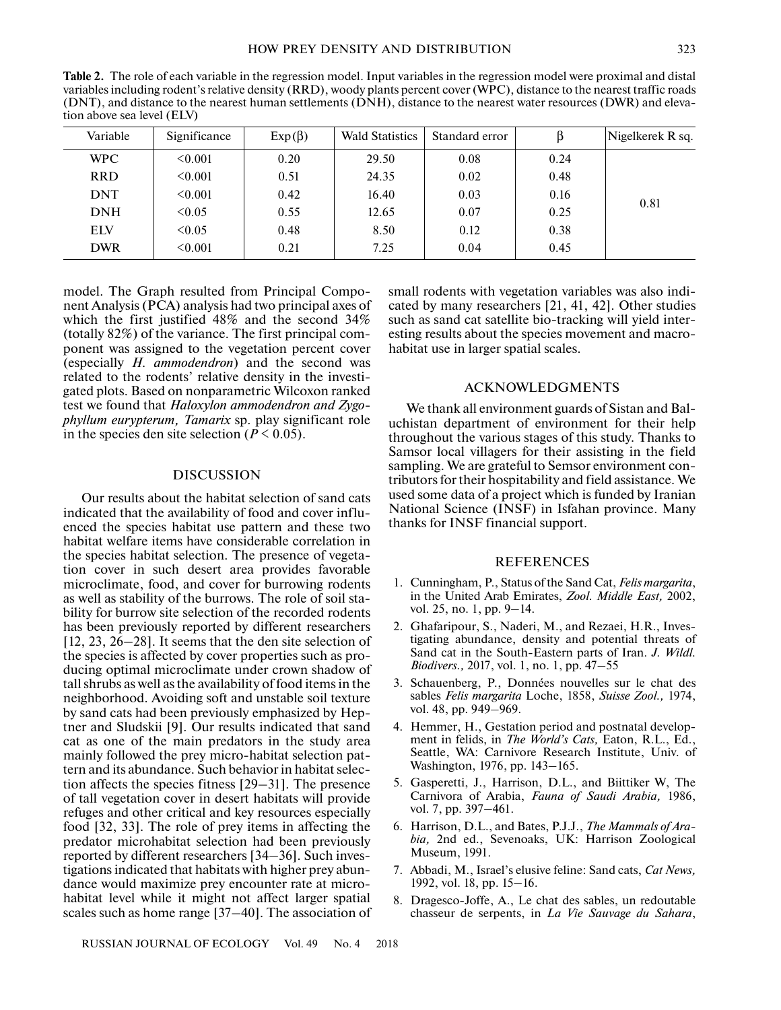**Table 2.** The role of each variable in the regression model. Input variables in the regression model were proximal and distal variables including rodent's relative density (RRD), woody plants percent cover (WPC), distance to the nearest traffic roads (DNT), and distance to the nearest human settlements (DNH), distance to the nearest water resources (DWR) and elevation above sea level (ELV)

| Variable   | Significance | $Exp(\beta)$ | <b>Wald Statistics</b> | Standard error |      | Nigelkerek R sq. |
|------------|--------------|--------------|------------------------|----------------|------|------------------|
| <b>WPC</b> | < 0.001      | 0.20         | 29.50                  | 0.08           | 0.24 | 0.81             |
| <b>RRD</b> | < 0.001      | 0.51         | 24.35                  | 0.02           | 0.48 |                  |
| <b>DNT</b> | $\leq 0.001$ | 0.42         | 16.40                  | 0.03           | 0.16 |                  |
| <b>DNH</b> | <0.05        | 0.55         | 12.65                  | 0.07           | 0.25 |                  |
| <b>ELV</b> | < 0.05       | 0.48         | 8.50                   | 0.12           | 0.38 |                  |
| <b>DWR</b> | < 0.001      | 0.21         | 7.25                   | 0.04           | 0.45 |                  |

model. The Graph resulted from Principal Component Analysis (PCA) analysis had two principal axes of which the first justified 48% and the second 34% (totally 82%) of the variance. The first principal component was assigned to the vegetation percent cover (especially *H. ammodendron*) and the second was related to the rodents' relative density in the investigated plots. Based on nonparametric Wilcoxon ranked test we found that *Haloxylon ammodendron and Zygophyllum eurypterum, Tamarix* sp. play significant role in the species den site selection ( $P \le 0.05$ ).

## DISCUSSION

Our results about the habitat selection of sand cats indicated that the availability of food and cover influenced the species habitat use pattern and these two habitat welfare items have considerable correlation in the species habitat selection. The presence of vegetation cover in such desert area provides favorable microclimate, food, and cover for burrowing rodents as well as stability of the burrows. The role of soil stability for burrow site selection of the recorded rodents has been previously reported by different researchers [12, 23, 26–28]. It seems that the den site selection of the species is affected by cover properties such as producing optimal microclimate under crown shadow of tall shrubs as well as the availability of food items in the neighborhood. Avoiding soft and unstable soil texture by sand cats had been previously emphasized by Heptner and Sludskii [9]. Our results indicated that sand cat as one of the main predators in the study area mainly followed the prey micro-habitat selection pattern and its abundance. Such behavior in habitat selection affects the species fitness [29–31]. The presence of tall vegetation cover in desert habitats will provide refuges and other critical and key resources especially food [32, 33]. The role of prey items in affecting the predator microhabitat selection had been previously reported by different researchers [34–36]. Such investigations indicated that habitats with higher prey abundance would maximize prey encounter rate at microhabitat level while it might not affect larger spatial scales such as home range [37–40]. The association of small rodents with vegetation variables was also indicated by many researchers [21, 41, 42]. Other studies such as sand cat satellite bio-tracking will yield interesting results about the species movement and macrohabitat use in larger spatial scales.

## ACKNOWLEDGMENTS

We thank all environment guards of Sistan and Baluchistan department of environment for their help throughout the various stages of this study. Thanks to Samsor local villagers for their assisting in the field sampling. We are grateful to Semsor environment contributors for their hospitability and field assistance. We used some data of a project which is funded by Iranian National Science (INSF) in Isfahan province. Many thanks for INSF financial support.

## REFERENCES

- 1. Cunningham, P., Status of the Sand Cat, *Felis margarita*, in the United Arab Emirates, *Zool. Middle East,* 2002, vol. 25, no. 1, pp. 9–14.
- 2. Ghafaripour, S., Naderi, M., and Rezaei, H.R., Investigating abundance, density and potential threats of Sand cat in the South-Eastern parts of Iran. *J. Wildl. Biodivers.,* 2017, vol. 1, no. 1, pp. 47–55
- 3. Schauenberg, P., Données nouvelles sur le chat des sables *Felis margarita* Loche, 1858, *Suisse Zool.,* 1974, vol. 48, pp. 949–969.
- 4. Hemmer, H., Gestation period and postnatal development in felids, in *The World's Cats,* Eaton, R.L., Ed., Seattle, WA: Carnivore Research Institute, Univ. of Washington, 1976, pp. 143–165.
- 5. Gasperetti, J., Harrison, D.L., and Biittiker W, The Carnivora of Arabia, *Fauna of Saudi Arabia,* 1986, vol. 7, pp. 397–461.
- 6. Harrison, D.L., and Bates, P.J.J., *The Mammals of Arabia,* 2nd ed., Sevenoaks, UK: Harrison Zoological Museum, 1991.
- 7. Abbadi, M., Israel's elusive feline: Sand cats, *Cat News,* 1992, vol. 18, pp. 15–16.
- 8. Dragesco-Joffe, A., Le chat des sables, un redoutable chasseur de serpents, in *La Vie Sauvage du Sahara*,